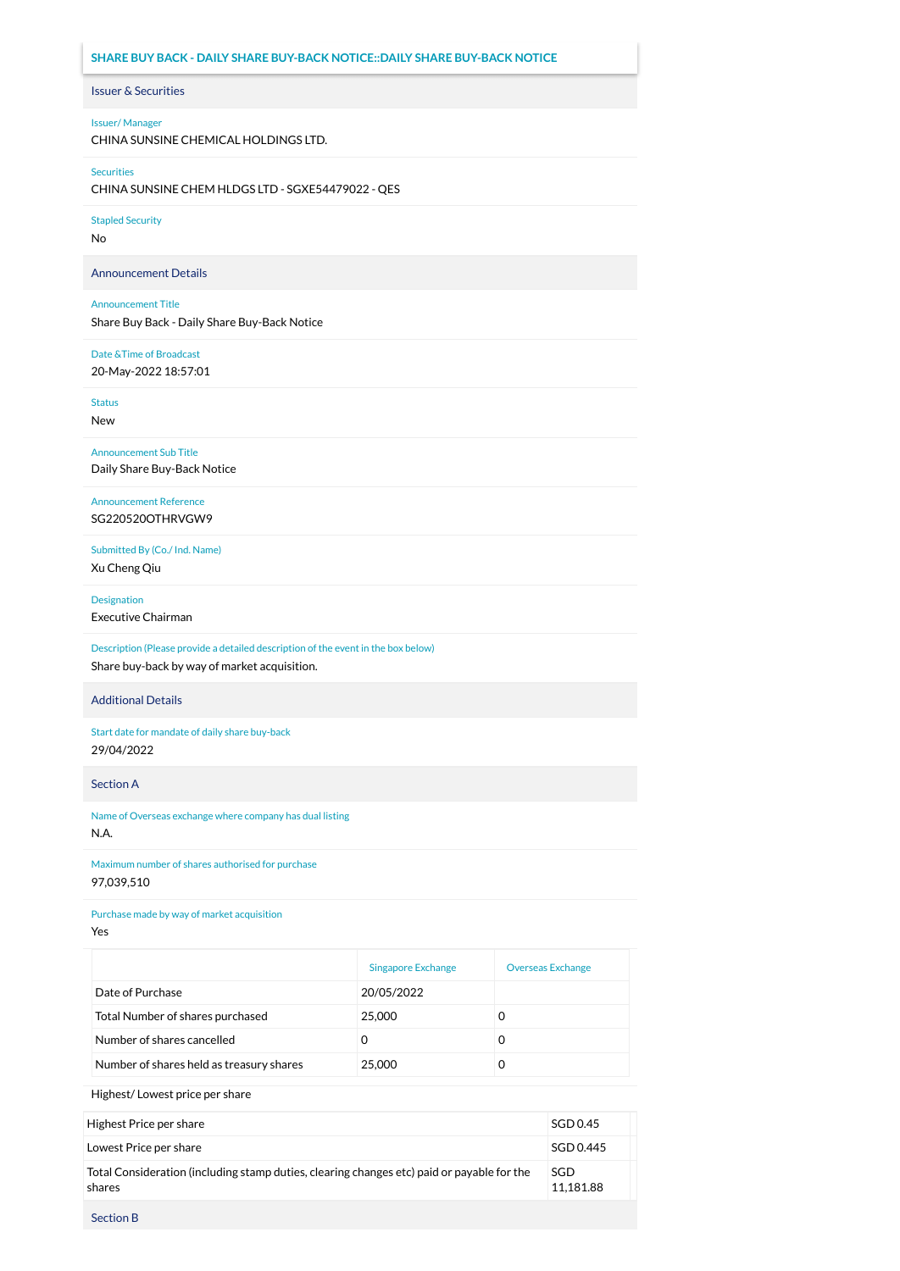# **SHARE BUY BACK - DAILY SHARE BUY-BACK NOTICE::DAILY SHARE BUY-BACK NOTICE**

# Issuer & Securities

## Issuer/ Manager

CHINA SUNSINE CHEMICAL HOLDINGS LTD.

#### Securities

CHINA SUNSINE CHEM HLDGS LTD - SGXE54479022 - QES

Stapled Security

No

Announcement Details

### Announcement Title

Share Buy Back - Daily Share Buy-Back Notice

# Date &Time of Broadcast

20-May-2022 18:57:01

Status

New

Announcement Sub Title Daily Share Buy-Back Notice

Announcement Reference SG220520OTHRVGW9

Submitted By (Co./ Ind. Name) Xu Cheng Qiu

Designation

Executive Chairman

Description (Please provide a detailed description of the event in the box below) Share buy-back by way of market acquisition.

## Additional Details

Start date for mandate of daily share buy-back 29/04/2022

Section A

Name of Overseas exchange where company has dual listing N.A.

Maximum number of shares authorised for purchase 97,039,510

Purchase made by way of market acquisition

Yes

|                                          | <b>Singapore Exchange</b> | <b>Overseas Exchange</b> |
|------------------------------------------|---------------------------|--------------------------|
| Date of Purchase                         | 20/05/2022                |                          |
| Total Number of shares purchased         | 25,000                    | O                        |
| Number of shares cancelled               | O                         | O                        |
| Number of shares held as treasury shares | 25,000                    |                          |

Highest/ Lowest price per share

| Highest Price per share                                                                              | SGD 0.45         |
|------------------------------------------------------------------------------------------------------|------------------|
| Lowest Price per share                                                                               | SGD 0.445        |
| Total Consideration (including stamp duties, clearing changes etc) paid or payable for the<br>shares | SGD<br>11.181.88 |

Section B